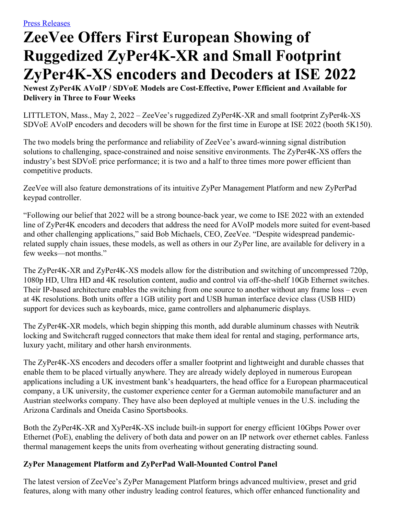## **ZeeVee Offers First European Showing of Ruggedized ZyPer4K-XR and Small Footprint ZyPer4K-XS encoders and Decoders at ISE 2022**

**Newest ZyPer4K AVoIP / SDVoE Models are Cost-Effective, Power Efficient and Available for Delivery in Three to Four Weeks**

LITTLETON, Mass., May 2, 2022 – ZeeVee's ruggedized ZyPer4K-XR and small footprint ZyPer4k-XS SDVoE AVoIP encoders and decoders will be shown for the first time in Europe at ISE 2022 (booth 5K150).

The two models bring the performance and reliability of ZeeVee's award-winning signal distribution solutions to challenging, space-constrained and noise sensitive environments. The ZyPer4K-XS offers the industry's best SDVoE price performance; it is two and a half to three times more power efficient than competitive products.

ZeeVee will also feature demonstrations of its intuitive ZyPer Management Platform and new ZyPerPad keypad controller.

"Following our belief that 2022 will be a strong bounce-back year, we come to ISE 2022 with an extended line of ZyPer4K encoders and decoders that address the need for AVoIP models more suited for event-based and other challenging applications," said Bob Michaels, CEO, ZeeVee. "Despite widespread pandemicrelated supply chain issues, these models, as well as others in our ZyPer line, are available for delivery in a few weeks—not months."

The ZyPer4K-XR and ZyPer4K-XS models allow for the distribution and switching of uncompressed 720p, 1080p HD, Ultra HD and 4K resolution content, audio and control via off-the-shelf 10Gb Ethernet switches. Their IP-based architecture enables the switching from one source to another without any frame loss – even at 4K resolutions. Both units offer a 1GB utility port and USB human interface device class (USB HID) support for devices such as keyboards, mice, game controllers and alphanumeric displays.

The ZyPer4K-XR models, which begin shipping this month, add durable aluminum chasses with Neutrik locking and Switchcraft rugged connectors that make them ideal for rental and staging, performance arts, luxury yacht, military and other harsh environments.

The ZyPer4K-XS encoders and decoders offer a smaller footprint and lightweight and durable chasses that enable them to be placed virtually anywhere. They are already widely deployed in numerous European applications including a UK investment bank's headquarters, the head office for a European pharmaceutical company, a UK university, the customer experience center for a German automobile manufacturer and an Austrian steelworks company. They have also been deployed at multiple venues in the U.S. including the Arizona Cardinals and Oneida Casino Sportsbooks.

Both the ZyPer4K-XR and XyPer4K-XS include built-in support for energy efficient 10Gbps Power over Ethernet (PoE), enabling the delivery of both data and power on an IP network over ethernet cables. Fanless thermal management keeps the units from overheating without generating distracting sound.

## **ZyPer Management Platform and ZyPerPad Wall-Mounted Control Panel**

The latest version of ZeeVee's ZyPer Management Platform brings advanced multiview, preset and grid features, along with many other industry leading control features, which offer enhanced functionality and